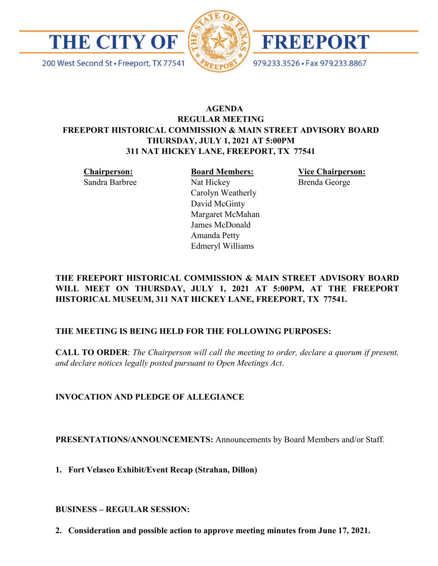

200 West Second St · Freeport, TX 77541





979.233.3526 · Fax 979.233.8867

# **AGENDA REGULAR MEETING FREEPORT HISTORICAL COMMISSION & MAIN STREET ADVISORY BOARD THURSDAY, JULY 1, 2021 AT 5:00PM 311 NAT HICKEY LANE, FREEPORT, TX 77541**

**Chairperson:** Sandra Barbree **Board Members:** Nat Hickey Carolyn Weatherly David McGinty Margaret McMahan James McDonald Amanda Petty Edmeryl Williams

**Vice Chairperson:** Brenda George

# **THE FREEPORT HISTORICAL COMMISSION & MAIN STREET ADVISORY BOARD WILL MEET ON THURSDAY, JULY 1, 2021 AT 5:00PM, AT THE FREEPORT HISTORICAL MUSEUM, 311 NAT HICKEY LANE, FREEPORT, TX 77541.**

# **THE MEETING IS BEING HELD FOR THE FOLLOWING PURPOSES:**

**CALL TO ORDER**: *The Chairperson will call the meeting to order, declare a quorum if present, and declare notices legally posted pursuant to Open Meetings Act*.

# **INVOCATION AND PLEDGE OF ALLEGIANCE**

**PRESENTATIONS/ANNOUNCEMENTS:** Announcements by Board Members and/or Staff.

**1. Fort Velasco Exhibit/Event Recap (Strahan, Dillon)**

**BUSINESS – REGULAR SESSION:** 

**2. Consideration and possible action to approve meeting minutes from June 17, 2021.**